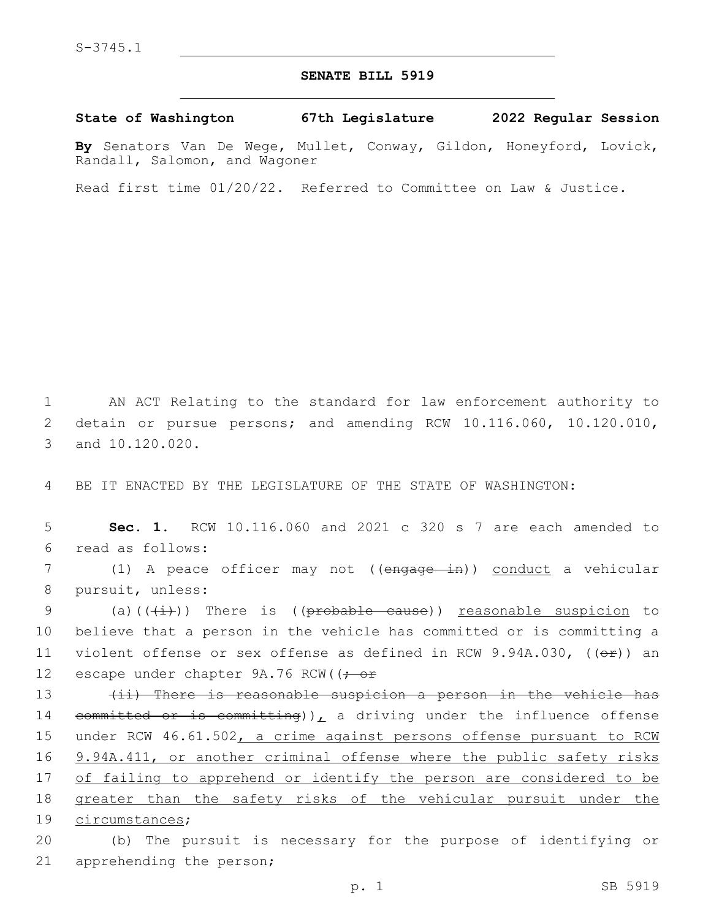## **SENATE BILL 5919**

**State of Washington 67th Legislature 2022 Regular Session**

**By** Senators Van De Wege, Mullet, Conway, Gildon, Honeyford, Lovick, Randall, Salomon, and Wagoner

Read first time 01/20/22. Referred to Committee on Law & Justice.

1 AN ACT Relating to the standard for law enforcement authority to 2 detain or pursue persons; and amending RCW 10.116.060, 10.120.010, 3 and 10.120.020.

4 BE IT ENACTED BY THE LEGISLATURE OF THE STATE OF WASHINGTON:

5 **Sec. 1.** RCW 10.116.060 and 2021 c 320 s 7 are each amended to read as follows:6

7 (1) A peace officer may not ((engage in)) conduct a vehicular 8 pursuit, unless:

9 (a)( $(\frac{1}{i})$ ) There is (( $\frac{1}{i}$ ) reasonable suspicion to 10 believe that a person in the vehicle has committed or is committing a 11 violent offense or sex offense as defined in RCW 9.94A.030,  $((\theta \cdot \hat{r}))$  an 12 escape under chapter 9A.76 RCW((: or

13 (ii) There is reasonable suspicion a person in the vehicle has 14 committed or is committing)), a driving under the influence offense 15 under RCW 46.61.502, a crime against persons offense pursuant to RCW 16 9.94A.411, or another criminal offense where the public safety risks 17 of failing to apprehend or identify the person are considered to be 18 greater than the safety risks of the vehicular pursuit under the 19 circumstances;

20 (b) The pursuit is necessary for the purpose of identifying or 21 apprehending the person;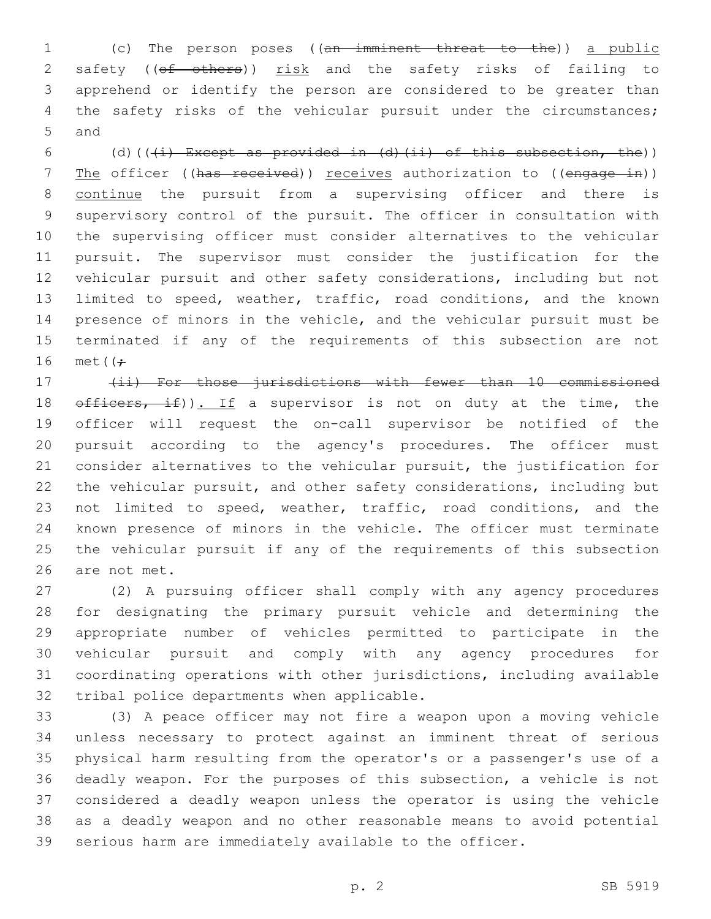(c) The person poses ((an imminent threat to the)) a public 2 safety ((of others)) risk and the safety risks of failing to apprehend or identify the person are considered to be greater than 4 the safety risks of the vehicular pursuit under the circumstances; 5 and

6 (d)( $(\frac{1}{1})$  Except as provided in (d)(ii) of this subsection, the)) 7 The officer ((has received)) receives authorization to ((engage in)) continue the pursuit from a supervising officer and there is supervisory control of the pursuit. The officer in consultation with the supervising officer must consider alternatives to the vehicular pursuit. The supervisor must consider the justification for the vehicular pursuit and other safety considerations, including but not limited to speed, weather, traffic, road conditions, and the known presence of minors in the vehicle, and the vehicular pursuit must be terminated if any of the requirements of this subsection are not 16 met $(f \div$ 

 (ii) For those jurisdictions with fewer than 10 commissioned  $\theta$  of ficers, if)). If a supervisor is not on duty at the time, the officer will request the on-call supervisor be notified of the pursuit according to the agency's procedures. The officer must consider alternatives to the vehicular pursuit, the justification for the vehicular pursuit, and other safety considerations, including but not limited to speed, weather, traffic, road conditions, and the known presence of minors in the vehicle. The officer must terminate the vehicular pursuit if any of the requirements of this subsection 26 are not met.

 (2) A pursuing officer shall comply with any agency procedures for designating the primary pursuit vehicle and determining the appropriate number of vehicles permitted to participate in the vehicular pursuit and comply with any agency procedures for coordinating operations with other jurisdictions, including available 32 tribal police departments when applicable.

 (3) A peace officer may not fire a weapon upon a moving vehicle unless necessary to protect against an imminent threat of serious physical harm resulting from the operator's or a passenger's use of a deadly weapon. For the purposes of this subsection, a vehicle is not considered a deadly weapon unless the operator is using the vehicle as a deadly weapon and no other reasonable means to avoid potential serious harm are immediately available to the officer.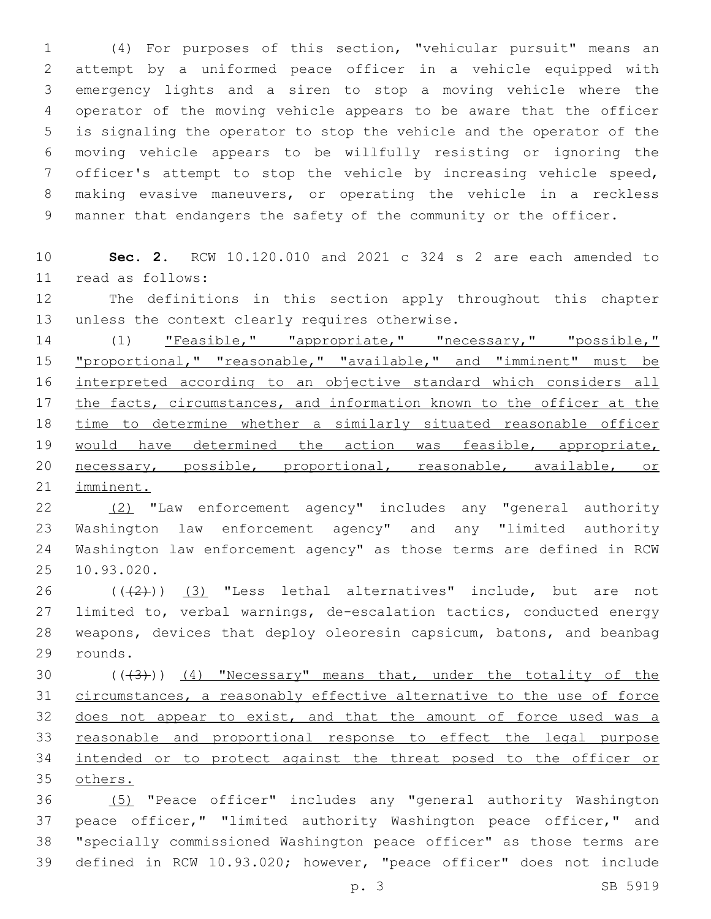(4) For purposes of this section, "vehicular pursuit" means an attempt by a uniformed peace officer in a vehicle equipped with emergency lights and a siren to stop a moving vehicle where the operator of the moving vehicle appears to be aware that the officer is signaling the operator to stop the vehicle and the operator of the moving vehicle appears to be willfully resisting or ignoring the officer's attempt to stop the vehicle by increasing vehicle speed, making evasive maneuvers, or operating the vehicle in a reckless manner that endangers the safety of the community or the officer.

 **Sec. 2.** RCW 10.120.010 and 2021 c 324 s 2 are each amended to read as follows:11

 The definitions in this section apply throughout this chapter 13 unless the context clearly requires otherwise.

14 (1) "Feasible," "appropriate," "necessary," "possible," 15 "proportional," "reasonable," "available," and "imminent" must be interpreted according to an objective standard which considers all the facts, circumstances, and information known to the officer at the time to determine whether a similarly situated reasonable officer 19 would have determined the action was feasible, appropriate, necessary, possible, proportional, reasonable, available, or imminent.

 (2) "Law enforcement agency" includes any "general authority Washington law enforcement agency" and any "limited authority Washington law enforcement agency" as those terms are defined in RCW 25 10.93.020.

 $((+2+))$   $(3)$  "Less lethal alternatives" include, but are not limited to, verbal warnings, de-escalation tactics, conducted energy weapons, devices that deploy oleoresin capsicum, batons, and beanbag 29 rounds.

 $((+3))$   $(4)$  "Necessary" means that, under the totality of the circumstances, a reasonably effective alternative to the use of force 32 does not appear to exist, and that the amount of force used was a reasonable and proportional response to effect the legal purpose intended or to protect against the threat posed to the officer or others.

 (5) "Peace officer" includes any "general authority Washington 37 peace officer," "limited authority Washington peace officer," and "specially commissioned Washington peace officer" as those terms are defined in RCW 10.93.020; however, "peace officer" does not include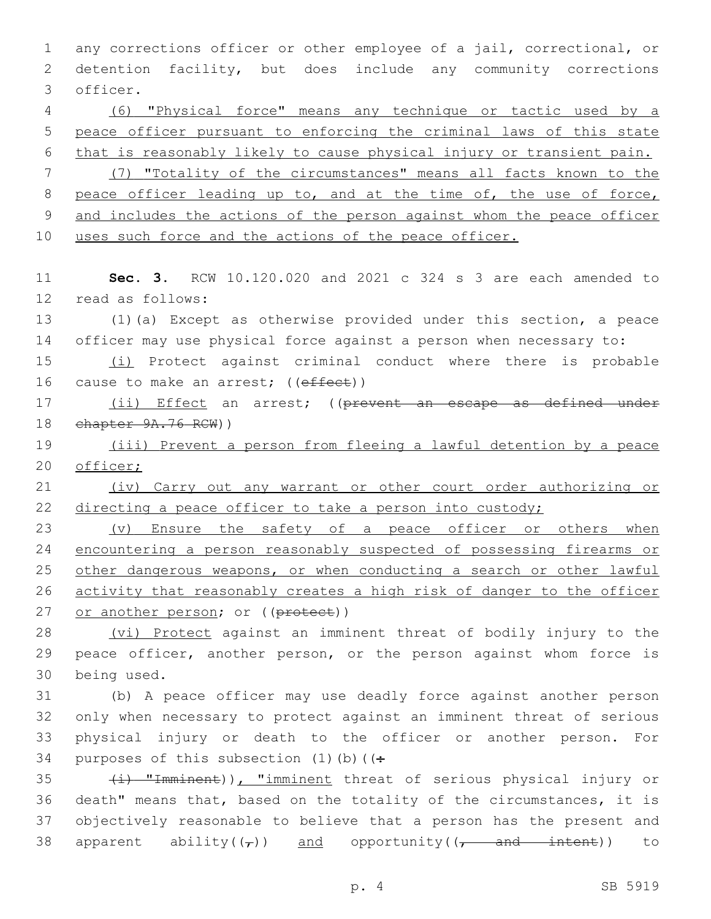1 any corrections officer or other employee of a jail, correctional, or 2 detention facility, but does include any community corrections 3 officer. 4 (6) "Physical force" means any technique or tactic used by a 5 peace officer pursuant to enforcing the criminal laws of this state 6 that is reasonably likely to cause physical injury or transient pain. 7 (7) "Totality of the circumstances" means all facts known to the 8 peace officer leading up to, and at the time of, the use of force, 9 and includes the actions of the person against whom the peace officer 10 uses such force and the actions of the peace officer. 11 **Sec. 3.** RCW 10.120.020 and 2021 c 324 s 3 are each amended to 12 read as follows: 13 (1)(a) Except as otherwise provided under this section, a peace 14 officer may use physical force against a person when necessary to: 15 (i) Protect against criminal conduct where there is probable 16 cause to make an arrest; ((effect)) 17 (ii) Effect an arrest; ((prevent an escape as defined under 18 chapter 9A.76 RCW)) 19 (iii) Prevent a person from fleeing a lawful detention by a peace 20 officer; 21 (iv) Carry out any warrant or other court order authorizing or 22 directing a peace officer to take a person into custody; 23 (v) Ensure the safety of a peace officer or others when 24 encountering a person reasonably suspected of possessing firearms or 25 other dangerous weapons, or when conducting a search or other lawful 26 activity that reasonably creates a high risk of danger to the officer 27 or another person; or ((protect)) 28 (vi) Protect against an imminent threat of bodily injury to the 29 peace officer, another person, or the person against whom force is 30 being used. 31 (b) A peace officer may use deadly force against another person 32 only when necessary to protect against an imminent threat of serious 33 physical injury or death to the officer or another person. For 34 purposes of this subsection  $(1)$  (b) ( $($ : 35 (i) "Imminent)), "imminent threat of serious physical injury or 36 death" means that, based on the totality of the circumstances, it is 37 objectively reasonable to believe that a person has the present and 38 apparent ability( $(\tau)$ ) and opportunity( $(\tau$  and intent)) to

p. 4 SB 5919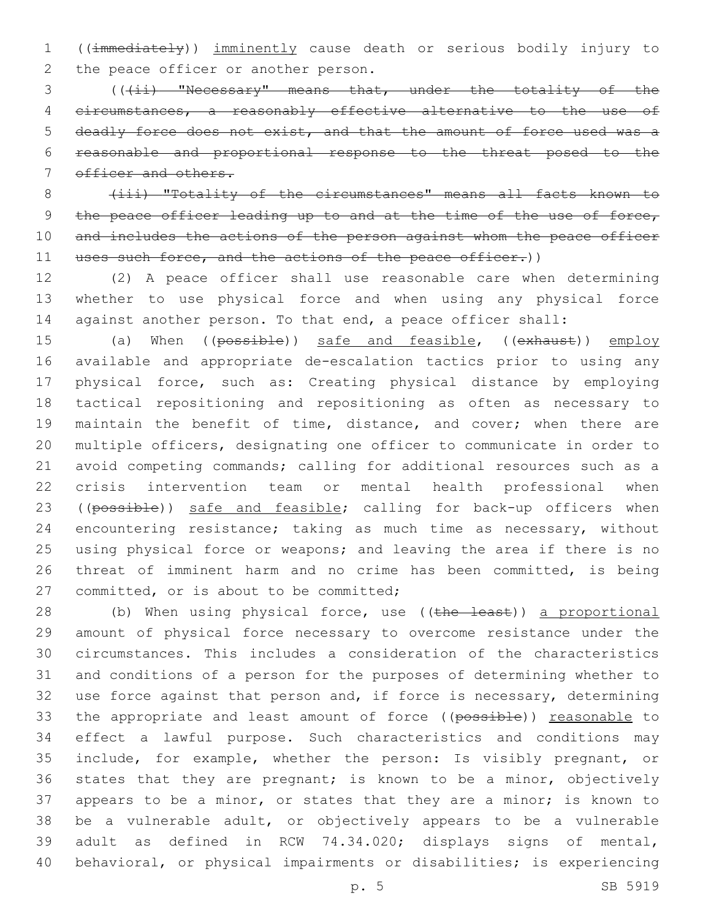((immediately)) imminently cause death or serious bodily injury to 2 the peace officer or another person.

3 (((ii) "Necessary" means that, under the totality of the circumstances, a reasonably effective alternative to the use of deadly force does not exist, and that the amount of force used was a reasonable and proportional response to the threat posed to the 7 officer and others.

8 (iii) "Totality of the circumstances" means all facts known to 9 the peace officer leading up to and at the time of the use of force, 10 and includes the actions of the person against whom the peace officer 11 uses such force, and the actions of the peace officer.))

 (2) A peace officer shall use reasonable care when determining whether to use physical force and when using any physical force against another person. To that end, a peace officer shall:

15 (a) When ((possible)) safe and feasible, ((exhaust)) employ available and appropriate de-escalation tactics prior to using any physical force, such as: Creating physical distance by employing tactical repositioning and repositioning as often as necessary to 19 maintain the benefit of time, distance, and cover; when there are multiple officers, designating one officer to communicate in order to avoid competing commands; calling for additional resources such as a crisis intervention team or mental health professional when 23 ((possible)) safe and feasible; calling for back-up officers when encountering resistance; taking as much time as necessary, without using physical force or weapons; and leaving the area if there is no threat of imminent harm and no crime has been committed, is being 27 committed, or is about to be committed;

28 (b) When using physical force, use ((the least)) a proportional amount of physical force necessary to overcome resistance under the circumstances. This includes a consideration of the characteristics and conditions of a person for the purposes of determining whether to use force against that person and, if force is necessary, determining 33 the appropriate and least amount of force ((possible)) reasonable to effect a lawful purpose. Such characteristics and conditions may include, for example, whether the person: Is visibly pregnant, or states that they are pregnant; is known to be a minor, objectively 37 appears to be a minor, or states that they are a minor; is known to be a vulnerable adult, or objectively appears to be a vulnerable adult as defined in RCW 74.34.020; displays signs of mental, behavioral, or physical impairments or disabilities; is experiencing

p. 5 SB 5919